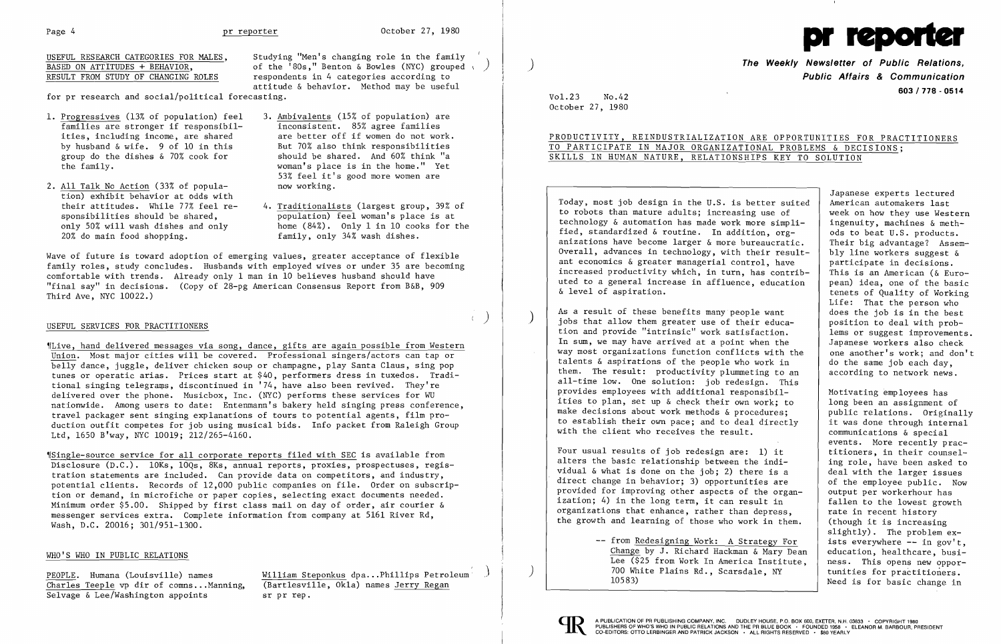

# USEFUL RESEARCH CATEGORIES FOR MALES, BASED ON ATTITUDES + BEHAVIOR, RESULT FROM STUDY OF CHANGING ROLES

- 1. Progressives (13% of population) feel families are stronger if responsibilities, including income, are shared by husband & wife. 9 of 10 in this group do the dishes & 70% cook for the family.
- 2. All Talk No Action (33% of population) exhibit behavior at odds with their attitudes. While 77% feel responsibilities should be shared, only 50% will wash dishes and only 20% do main food shopping.

for pr research and social/political forecasting.

Studying "Men's changing role in the family of the '80s," Benton & Bowles (NYC) grouped \ ) respondents in 4 categories according to attitude & behavior. Method may be useful

- 3. Ambiva1ents (15% of population) are inconsistent. 85% agree families are better off if women do not work. But 70% also think responsibilities should be shared. And 60% think "a woman's place is in the home." Yet 53% feel it's good more women are now working.
- 4. Traditionalists (largest group, 39% of population) feel woman's place is at home (84%). Only 1 in 10 cooks for the family, only 34% wash dishes.

~[Sing1e-source service for all corporate reports filed with SEC is available from Disclosure (D.C.). 10Ks, 10Qs, 8Ks, annual reports, proxies, prospectuses, registration statements are included. Can provide data on competitors, and industry, potential clients. Records of 12,000 public companies on file. Order on subscription or demand, in microfiche or paper copies, selecting exact documents needed. Minimum order \$5.00. Shipped by first class mail on day of order, air courier & messenger services extra. Complete information from company at 5161 River Rd, Wash, D.C. 20016; 301/951-1300.

Wave of future is toward adoption of emerging values, greater acceptance of flexible family roles, study concludes. Husbands with employed wives or under 35 are becoming comfortable with trends. Already only 1 man in 10 believes husband should have "final say" in decisions. (Copy of 28-pg American Consensus Report from B&B, 909 Third Ave, NYC 10022.)

# ) USEFUL SERVICES FOR PRACTITIONERS

**The Weekly Newsletter of Public Relations. Public Affairs & Communication 603/778 - <sup>0514</sup>** Vo1.23 No.42

~rLive, hand delivered messages via song, dance, gifts are again possible from Western Union. Most major cities will be covered. Professional singers/actors can tap or belly dance, juggle, deliver chicken soup or champagne, play Santa Claus, sing pop tunes or operatic arias. Prices start at \$40, performers dress in tuxedos. Traditional singing te1egraws, discontinued in '74, have also been revived. They're delivered over the phone. Musicbox, Inc. (NYC) performs these services for WU nationwide. Among users to date: Entenmann's bakery held singing press conference, travel packager sent singing explanations of tours to potential agents, film production outfit competes for job using musical bids. Info packet from Raleigh Group Ltd, 1650 B'way, NYC 10019; 212/265-4160.

As a result of these benefits many people want jobs that allow them greater use of their education and provide "intrinsic" work satisfaction. In sum, we may have arrived at a point when the way most organizations function conflicts with the talents & aspirations of the people who work in them. The result: productivity plummeting to an all-time low. One solution: job redesign. This provides employees with additional responsibilities to plan, set up & check their own work; to make decisions about work methods & procedures; to establish their own pace; and to deal directly with the client who receives the result.

> -- from Redesigning Work: A Strategy For Change by J. Richard Hackman & Mary Dean Lee (\$25 from Work In America Institute, 700 White Plains Rd., Scarsdale, NY 10583)



#### WHO'S WHO IN PUBLIC RELATIONS

Charles Teeple vp dir of comns... Manning, Selvage & Lee/Washington appoints sr pr rep.

PEOPLE. Humana (Louisville) names<br>
Charles Teeple vp dir of comns...Manning, (Bartlesville, Okla) names Jerry Regan

October 27, 1980

PRODUCTIVITY, REINDUSTRIALIZATION ARE OPPORTUNITIES FOR PRACTITIONERS TO PARTICIPATE IN MAJOR ORGANIZATIONAL PROBLEMS & DECISIONS; SKILLS IN HUMAN NATURE, RELATIONSHIPS KEY TO SOLUTION

)

)

Today, most job design in the U.S. is better suited to robots than mature adults; increasing use of technology & automation has made work more simplified, standardized & routine. In addition, organizations have become larger & more bureaucratic. Overall, advances in technology, with their resultant economics & greater managerial control, have increased productivity which, in turn, has contributed to a general increase in affluence, education & level of aspiration.

Four usual results of job redesign are: 1) it alters the basic relationship between the individual & what is done on the job; 2) there is a direct change in behavior; 3) opportunities are provided for improving other aspects of the organization; 4) in the long term, it can result in organizations that enhance, rather than depress, the growth and learning of those who work in them.

Japanese experts lectured American automakers last week on how they use Western ingenuity, machines & methods to beat U.S. products. Their big advantage? Assembly line workers suggest & participate in decisions. This is an American (& European) idea, one of the basic tenets of Quality of Working Life: That the person who does the job is in the best position to deal with problems or suggest improvements. Japanese workers also check one another's work; and don't do the same job each day, according to network news.

Motivating employees has long been an assignment of public relations. Originally it was done through internal communications & special events. More recently practitioners, in their counseling role, have been asked to deal with the larger issues of the employee public. Now output per workerhour has fallen to the lowest growth rate in recent history (though it is increasing slightly). The problem exists everywhere -- in gov't, education, hea1thcare, business. This opens new opportunities for practitioners. Need is for basic change in